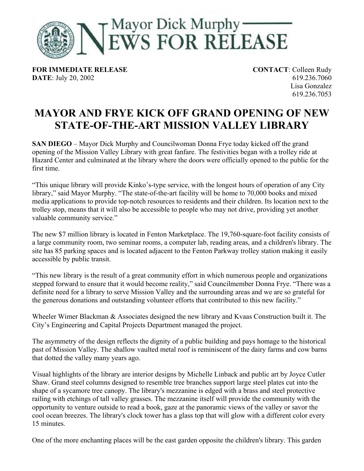

**FOR IMMEDIATE RELEASE CONTACT**: Colleen Rudy **DATE**: July 20, 2002 619.236.7060

Lisa Gonzalez 619.236.7053

## **MAYOR AND FRYE KICK OFF GRAND OPENING OF NEW STATE-OF-THE-ART MISSION VALLEY LIBRARY**

**SAN DIEGO** – Mayor Dick Murphy and Councilwoman Donna Frye today kicked off the grand opening of the Mission Valley Library with great fanfare. The festivities began with a trolley ride at Hazard Center and culminated at the library where the doors were officially opened to the public for the first time.

"This unique library will provide Kinko's-type service, with the longest hours of operation of any City library," said Mayor Murphy. "The state-of-the-art facility will be home to 70,000 books and mixed media applications to provide top-notch resources to residents and their children. Its location next to the trolley stop, means that it will also be accessible to people who may not drive, providing yet another valuable community service."

The new \$7 million library is located in Fenton Marketplace. The 19,760-square-foot facility consists of a large community room, two seminar rooms, a computer lab, reading areas, and a children's library. The site has 85 parking spaces and is located adjacent to the Fenton Parkway trolley station making it easily accessible by public transit.

"This new library is the result of a great community effort in which numerous people and organizations stepped forward to ensure that it would become reality," said Councilmember Donna Frye. "There was a definite need for a library to serve Mission Valley and the surrounding areas and we are so grateful for the generous donations and outstanding volunteer efforts that contributed to this new facility."

Wheeler Wimer Blackman & Associates designed the new library and Kvaas Construction built it. The City's Engineering and Capital Projects Department managed the project.

The asymmetry of the design reflects the dignity of a public building and pays homage to the historical past of Mission Valley. The shallow vaulted metal roof is reminiscent of the dairy farms and cow barns that dotted the valley many years ago.

Visual highlights of the library are interior designs by Michelle Linback and public art by Joyce Cutler Shaw. Grand steel columns designed to resemble tree branches support large steel plates cut into the shape of a sycamore tree canopy. The library's mezzanine is edged with a brass and steel protective railing with etchings of tall valley grasses. The mezzanine itself will provide the community with the opportunity to venture outside to read a book, gaze at the panoramic views of the valley or savor the cool ocean breezes. The library's clock tower has a glass top that will glow with a different color every 15 minutes.

One of the more enchanting places will be the east garden opposite the children's library. This garden